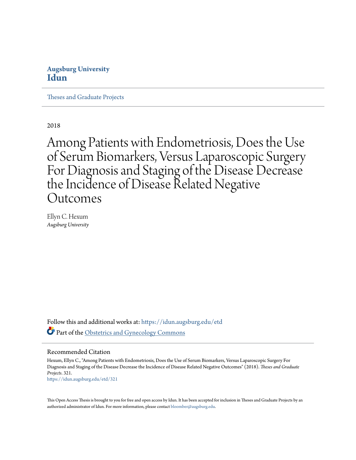# **Augsburg University [Idun](https://idun.augsburg.edu?utm_source=idun.augsburg.edu%2Fetd%2F321&utm_medium=PDF&utm_campaign=PDFCoverPages)**

[Theses and Graduate Projects](https://idun.augsburg.edu/etd?utm_source=idun.augsburg.edu%2Fetd%2F321&utm_medium=PDF&utm_campaign=PDFCoverPages)

2018

Among Patients with Endometriosis, Does the Use of Serum Biomarkers, Versus Laparoscopic Surgery For Diagnosis and Staging of the Disease Decrease the Incidence of Disease Related Negative Outcomes

Ellyn C. Hexum *Augsburg University*

Follow this and additional works at: [https://idun.augsburg.edu/etd](https://idun.augsburg.edu/etd?utm_source=idun.augsburg.edu%2Fetd%2F321&utm_medium=PDF&utm_campaign=PDFCoverPages) Part of the [Obstetrics and Gynecology Commons](http://network.bepress.com/hgg/discipline/693?utm_source=idun.augsburg.edu%2Fetd%2F321&utm_medium=PDF&utm_campaign=PDFCoverPages)

#### Recommended Citation

Hexum, Ellyn C., "Among Patients with Endometriosis, Does the Use of Serum Biomarkers, Versus Laparoscopic Surgery For Diagnosis and Staging of the Disease Decrease the Incidence of Disease Related Negative Outcomes" (2018). *Theses and Graduate Projects*. 321. [https://idun.augsburg.edu/etd/321](https://idun.augsburg.edu/etd/321?utm_source=idun.augsburg.edu%2Fetd%2F321&utm_medium=PDF&utm_campaign=PDFCoverPages)

This Open Access Thesis is brought to you for free and open access by Idun. It has been accepted for inclusion in Theses and Graduate Projects by an authorized administrator of Idun. For more information, please contact [bloomber@augsburg.edu.](mailto:bloomber@augsburg.edu)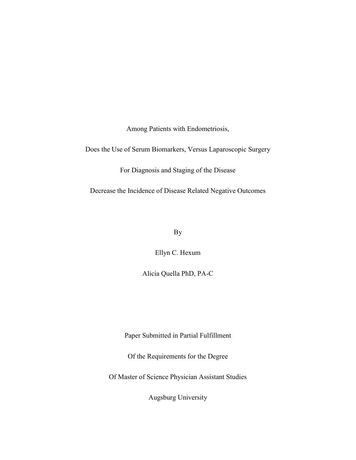Among Patients with Endometriosis,

Does the Use of Serum Biomarkers, Versus Laparoscopic Surgery

For Diagnosis and Staging of the Disease

Decrease the Incidence of Disease Related Negative Outcomes

By

Ellyn C. Hexum

Alicia Quella PhD, PA-C

Paper Submitted in Partial Fulfillment

Of the Requirements for the Degree

Of Master of Science Physician Assistant Studies

Augsburg University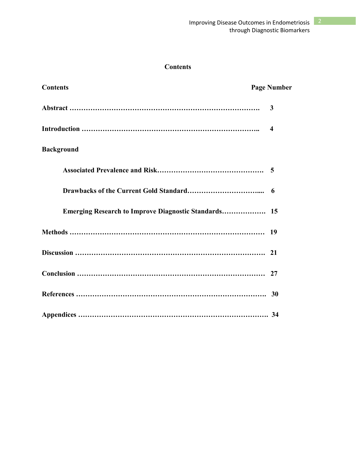# **Contents**

| <b>Contents</b>                                             | <b>Page Number</b> |
|-------------------------------------------------------------|--------------------|
|                                                             | 3                  |
|                                                             | $\boldsymbol{4}$   |
| <b>Background</b>                                           |                    |
|                                                             |                    |
|                                                             | -6                 |
| <b>Emerging Research to Improve Diagnostic Standards 15</b> |                    |
|                                                             |                    |
|                                                             |                    |
|                                                             |                    |
|                                                             |                    |
|                                                             |                    |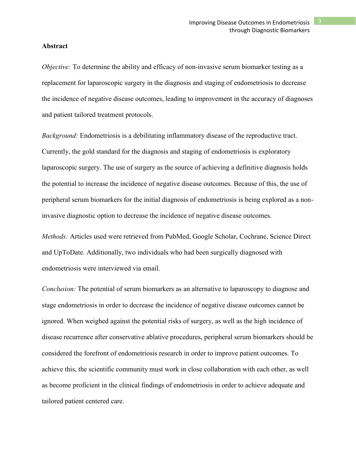#### **Abstract**

*Objective:* To determine the ability and efficacy of non-invasive serum biomarker testing as a replacement for laparoscopic surgery in the diagnosis and staging of endometriosis to decrease the incidence of negative disease outcomes, leading to improvement in the accuracy of diagnoses and patient tailored treatment protocols.

*Background:* Endometriosis is a debilitating inflammatory disease of the reproductive tract. Currently, the gold standard for the diagnosis and staging of endometriosis is exploratory laparoscopic surgery. The use of surgery as the source of achieving a definitive diagnosis holds the potential to increase the incidence of negative disease outcomes. Because of this, the use of peripheral serum biomarkers for the initial diagnosis of endometriosis is being explored as a noninvasive diagnostic option to decrease the incidence of negative disease outcomes.

*Methods:* Articles used were retrieved from PubMed, Google Scholar, Cochrane, Science Direct and UpToDate. Additionally, two individuals who had been surgically diagnosed with endometriosis were interviewed via email.

*Conclusion:* The potential of serum biomarkers as an alternative to laparoscopy to diagnose and stage endometriosis in order to decrease the incidence of negative disease outcomes cannot be ignored. When weighed against the potential risks of surgery, as well as the high incidence of disease recurrence after conservative ablative procedures, peripheral serum biomarkers should be considered the forefront of endometriosis research in order to improve patient outcomes. To achieve this, the scientific community must work in close collaboration with each other, as well as become proficient in the clinical findings of endometriosis in order to achieve adequate and tailored patient centered care.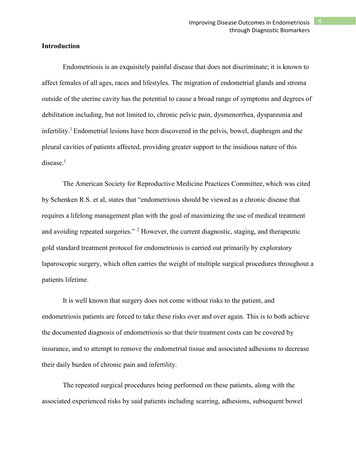#### **Introduction**

Endometriosis is an exquisitely painful disease that does not discriminate; it is known to affect females of all ages, races and lifestyles. The migration of endometrial glands and stroma outside of the uterine cavity has the potential to cause a broad range of symptoms and degrees of debilitation including, but not limited to, chronic pelvic pain, dysmenorrhea, dyspareunia and infertility.<sup>1</sup> Endometrial lesions have been discovered in the pelvis, bowel, diaphragm and the pleural cavities of patients affected, providing greater support to the insidious nature of this  $disease.<sup>1</sup>$ 

The American Society for Reproductive Medicine Practices Committee, which was cited by Schenken R.S. et al, states that "endometriosis should be viewed as a chronic disease that requires a lifelong management plan with the goal of maximizing the use of medical treatment and avoiding repeated surgeries."<sup>2</sup> However, the current diagnostic, staging, and therapeutic gold standard treatment protocol for endometriosis is carried out primarily by exploratory laparoscopic surgery, which often carries the weight of multiple surgical procedures throughout a patients lifetime.

It is well known that surgery does not come without risks to the patient, and endometriosis patients are forced to take these risks over and over again. This is to both achieve the documented diagnosis of endometriosis so that their treatment costs can be covered by insurance, and to attempt to remove the endometrial tissue and associated adhesions to decrease their daily burden of chronic pain and infertility.

The repeated surgical procedures being performed on these patients, along with the associated experienced risks by said patients including scarring, adhesions, subsequent bowel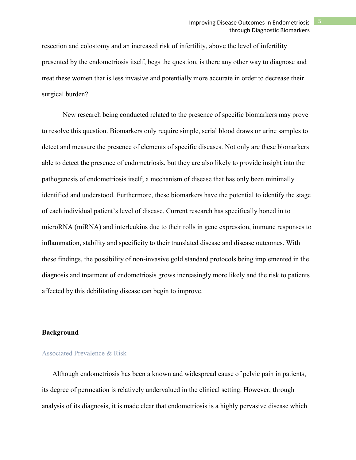resection and colostomy and an increased risk of infertility, above the level of infertility presented by the endometriosis itself, begs the question, is there any other way to diagnose and treat these women that is less invasive and potentially more accurate in order to decrease their surgical burden?

New research being conducted related to the presence of specific biomarkers may prove to resolve this question. Biomarkers only require simple, serial blood draws or urine samples to detect and measure the presence of elements of specific diseases. Not only are these biomarkers able to detect the presence of endometriosis, but they are also likely to provide insight into the pathogenesis of endometriosis itself; a mechanism of disease that has only been minimally identified and understood. Furthermore, these biomarkers have the potential to identify the stage of each individual patient's level of disease. Current research has specifically honed in to microRNA (miRNA) and interleukins due to their rolls in gene expression, immune responses to inflammation, stability and specificity to their translated disease and disease outcomes. With these findings, the possibility of non-invasive gold standard protocols being implemented in the diagnosis and treatment of endometriosis grows increasingly more likely and the risk to patients affected by this debilitating disease can begin to improve.

## **Background**

#### Associated Prevalence & Risk

Although endometriosis has been a known and widespread cause of pelvic pain in patients, its degree of permeation is relatively undervalued in the clinical setting. However, through analysis of its diagnosis, it is made clear that endometriosis is a highly pervasive disease which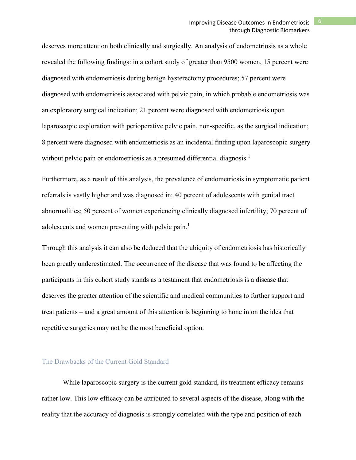deserves more attention both clinically and surgically. An analysis of endometriosis as a whole revealed the following findings: in a cohort study of greater than 9500 women, 15 percent were diagnosed with endometriosis during benign hysterectomy procedures; 57 percent were diagnosed with endometriosis associated with pelvic pain, in which probable endometriosis was an exploratory surgical indication; 21 percent were diagnosed with endometriosis upon laparoscopic exploration with perioperative pelvic pain, non-specific, as the surgical indication; 8 percent were diagnosed with endometriosis as an incidental finding upon laparoscopic surgery without pelvic pain or endometriosis as a presumed differential diagnosis.<sup>1</sup>

Furthermore, as a result of this analysis, the prevalence of endometriosis in symptomatic patient referrals is vastly higher and was diagnosed in: 40 percent of adolescents with genital tract abnormalities; 50 percent of women experiencing clinically diagnosed infertility; 70 percent of adolescents and women presenting with pelvic pain.<sup>1</sup>

Through this analysis it can also be deduced that the ubiquity of endometriosis has historically been greatly underestimated. The occurrence of the disease that was found to be affecting the participants in this cohort study stands as a testament that endometriosis is a disease that deserves the greater attention of the scientific and medical communities to further support and treat patients – and a great amount of this attention is beginning to hone in on the idea that repetitive surgeries may not be the most beneficial option.

## The Drawbacks of the Current Gold Standard

While laparoscopic surgery is the current gold standard, its treatment efficacy remains rather low. This low efficacy can be attributed to several aspects of the disease, along with the reality that the accuracy of diagnosis is strongly correlated with the type and position of each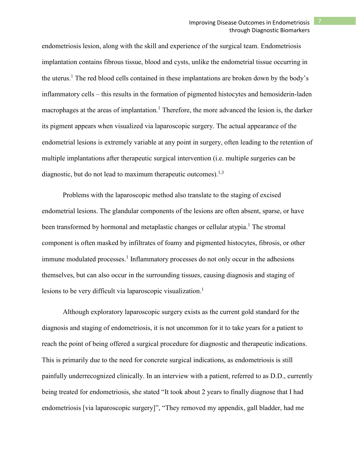endometriosis lesion, along with the skill and experience of the surgical team. Endometriosis implantation contains fibrous tissue, blood and cysts, unlike the endometrial tissue occurring in the uterus. <sup>1</sup> The red blood cells contained in these implantations are broken down by the body's inflammatory cells – this results in the formation of pigmented histocytes and hemosiderin-laden macrophages at the areas of implantation.<sup>1</sup> Therefore, the more advanced the lesion is, the darker its pigment appears when visualized via laparoscopic surgery. The actual appearance of the endometrial lesions is extremely variable at any point in surgery, often leading to the retention of multiple implantations after therapeutic surgical intervention (i.e. multiple surgeries can be diagnostic, but do not lead to maximum therapeutic outcomes).<sup>1,3</sup>

Problems with the laparoscopic method also translate to the staging of excised endometrial lesions. The glandular components of the lesions are often absent, sparse, or have been transformed by hormonal and metaplastic changes or cellular atypia.<sup>1</sup> The stromal component is often masked by infiltrates of foamy and pigmented histocytes, fibrosis, or other immune modulated processes. <sup>1</sup> Inflammatory processes do not only occur in the adhesions themselves, but can also occur in the surrounding tissues, causing diagnosis and staging of lesions to be very difficult via laparoscopic visualization. 1

Although exploratory laparoscopic surgery exists as the current gold standard for the diagnosis and staging of endometriosis, it is not uncommon for it to take years for a patient to reach the point of being offered a surgical procedure for diagnostic and therapeutic indications. This is primarily due to the need for concrete surgical indications, as endometriosis is still painfully underrecognized clinically. In an interview with a patient, referred to as D.D., currently being treated for endometriosis, she stated "It took about 2 years to finally diagnose that I had endometriosis [via laparoscopic surgery]", "They removed my appendix, gall bladder, had me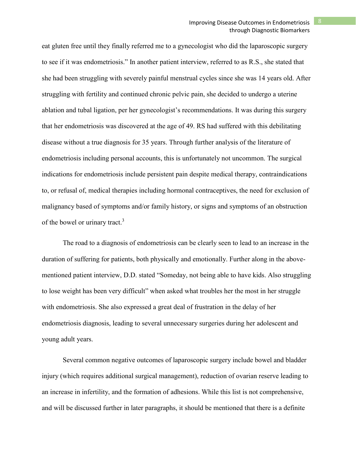eat gluten free until they finally referred me to a gynecologist who did the laparoscopic surgery to see if it was endometriosis." In another patient interview, referred to as R.S., she stated that she had been struggling with severely painful menstrual cycles since she was 14 years old. After struggling with fertility and continued chronic pelvic pain, she decided to undergo a uterine ablation and tubal ligation, per her gynecologist's recommendations. It was during this surgery that her endometriosis was discovered at the age of 49. RS had suffered with this debilitating disease without a true diagnosis for 35 years. Through further analysis of the literature of endometriosis including personal accounts, this is unfortunately not uncommon. The surgical indications for endometriosis include persistent pain despite medical therapy, contraindications to, or refusal of, medical therapies including hormonal contraceptives, the need for exclusion of malignancy based of symptoms and/or family history, or signs and symptoms of an obstruction of the bowel or urinary tract.<sup>3</sup>

The road to a diagnosis of endometriosis can be clearly seen to lead to an increase in the duration of suffering for patients, both physically and emotionally. Further along in the abovementioned patient interview, D.D. stated "Someday, not being able to have kids. Also struggling to lose weight has been very difficult" when asked what troubles her the most in her struggle with endometriosis. She also expressed a great deal of frustration in the delay of her endometriosis diagnosis, leading to several unnecessary surgeries during her adolescent and young adult years.

Several common negative outcomes of laparoscopic surgery include bowel and bladder injury (which requires additional surgical management), reduction of ovarian reserve leading to an increase in infertility, and the formation of adhesions. While this list is not comprehensive, and will be discussed further in later paragraphs, it should be mentioned that there is a definite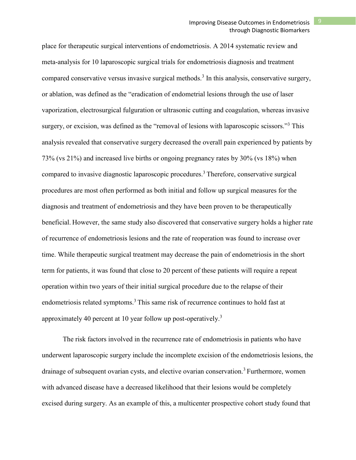place for therapeutic surgical interventions of endometriosis. A 2014 systematic review and meta-analysis for 10 laparoscopic surgical trials for endometriosis diagnosis and treatment compared conservative versus invasive surgical methods.<sup>3</sup> In this analysis, conservative surgery, or ablation, was defined as the "eradication of endometrial lesions through the use of laser vaporization, electrosurgical fulguration or ultrasonic cutting and coagulation, whereas invasive surgery, or excision, was defined as the "removal of lesions with laparoscopic scissors."<sup>3</sup> This analysis revealed that conservative surgery decreased the overall pain experienced by patients by 73% (vs 21%) and increased live births or ongoing pregnancy rates by 30% (vs 18%) when compared to invasive diagnostic laparoscopic procedures.<sup>3</sup> Therefore, conservative surgical procedures are most often performed as both initial and follow up surgical measures for the diagnosis and treatment of endometriosis and they have been proven to be therapeutically beneficial. However, the same study also discovered that conservative surgery holds a higher rate of recurrence of endometriosis lesions and the rate of reoperation was found to increase over time. While therapeutic surgical treatment may decrease the pain of endometriosis in the short term for patients, it was found that close to 20 percent of these patients will require a repeat operation within two years of their initial surgical procedure due to the relapse of their endometriosis related symptoms.<sup>3</sup> This same risk of recurrence continues to hold fast at approximately 40 percent at 10 year follow up post-operatively.<sup>3</sup>

The risk factors involved in the recurrence rate of endometriosis in patients who have underwent laparoscopic surgery include the incomplete excision of the endometriosis lesions, the drainage of subsequent ovarian cysts, and elective ovarian conservation.<sup>3</sup> Furthermore, women with advanced disease have a decreased likelihood that their lesions would be completely excised during surgery. As an example of this, a multicenter prospective cohort study found that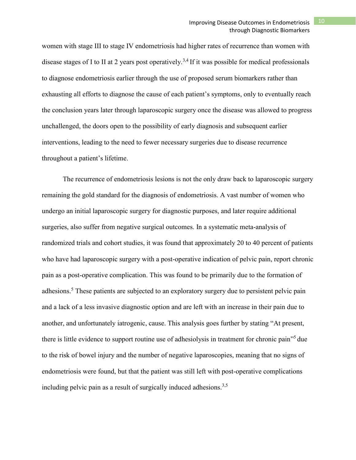## Improving Disease Outcomes in Endometriosis 10 through Diagnostic Biomarkers

women with stage III to stage IV endometriosis had higher rates of recurrence than women with disease stages of I to II at 2 years post operatively.<sup>3,4</sup> If it was possible for medical professionals to diagnose endometriosis earlier through the use of proposed serum biomarkers rather than exhausting all efforts to diagnose the cause of each patient's symptoms, only to eventually reach the conclusion years later through laparoscopic surgery once the disease was allowed to progress unchallenged, the doors open to the possibility of early diagnosis and subsequent earlier interventions, leading to the need to fewer necessary surgeries due to disease recurrence throughout a patient's lifetime.

The recurrence of endometriosis lesions is not the only draw back to laparoscopic surgery remaining the gold standard for the diagnosis of endometriosis. A vast number of women who undergo an initial laparoscopic surgery for diagnostic purposes, and later require additional surgeries, also suffer from negative surgical outcomes. In a systematic meta-analysis of randomized trials and cohort studies, it was found that approximately 20 to 40 percent of patients who have had laparoscopic surgery with a post-operative indication of pelvic pain, report chronic pain as a post-operative complication. This was found to be primarily due to the formation of adhesions.<sup>5</sup> These patients are subjected to an exploratory surgery due to persistent pelvic pain and a lack of a less invasive diagnostic option and are left with an increase in their pain due to another, and unfortunately iatrogenic, cause. This analysis goes further by stating "At present, there is little evidence to support routine use of adhesiolysis in treatment for chronic pain"5 due to the risk of bowel injury and the number of negative laparoscopies, meaning that no signs of endometriosis were found, but that the patient was still left with post-operative complications including pelvic pain as a result of surgically induced adhesions.<sup>3,5</sup>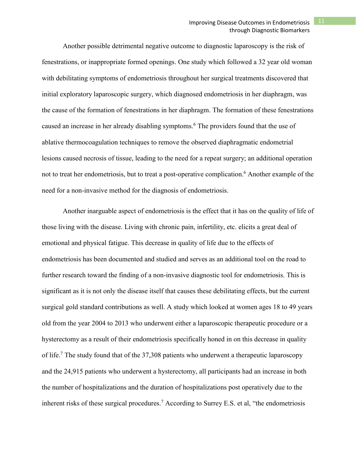Another possible detrimental negative outcome to diagnostic laparoscopy is the risk of fenestrations, or inappropriate formed openings. One study which followed a 32 year old woman with debilitating symptoms of endometriosis throughout her surgical treatments discovered that initial exploratory laparoscopic surgery, which diagnosed endometriosis in her diaphragm, was the cause of the formation of fenestrations in her diaphragm. The formation of these fenestrations caused an increase in her already disabling symptoms.<sup>6</sup> The providers found that the use of ablative thermocoagulation techniques to remove the observed diaphragmatic endometrial lesions caused necrosis of tissue, leading to the need for a repeat surgery; an additional operation not to treat her endometriosis, but to treat a post-operative complication.<sup>6</sup> Another example of the need for a non-invasive method for the diagnosis of endometriosis.

Another inarguable aspect of endometriosis is the effect that it has on the quality of life of those living with the disease. Living with chronic pain, infertility, etc. elicits a great deal of emotional and physical fatigue. This decrease in quality of life due to the effects of endometriosis has been documented and studied and serves as an additional tool on the road to further research toward the finding of a non-invasive diagnostic tool for endometriosis. This is significant as it is not only the disease itself that causes these debilitating effects, but the current surgical gold standard contributions as well. A study which looked at women ages 18 to 49 years old from the year 2004 to 2013 who underwent either a laparoscopic therapeutic procedure or a hysterectomy as a result of their endometriosis specifically honed in on this decrease in quality of life.<sup>7</sup> The study found that of the 37,308 patients who underwent a therapeutic laparoscopy and the 24,915 patients who underwent a hysterectomy, all participants had an increase in both the number of hospitalizations and the duration of hospitalizations post operatively due to the inherent risks of these surgical procedures.<sup>7</sup> According to Surrey E.S. et al, "the endometriosis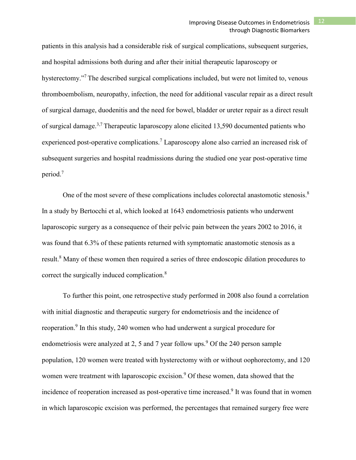patients in this analysis had a considerable risk of surgical complications, subsequent surgeries, and hospital admissions both during and after their initial therapeutic laparoscopy or hysterectomy."<sup>7</sup> The described surgical complications included, but were not limited to, venous thromboembolism, neuropathy, infection, the need for additional vascular repair as a direct result of surgical damage, duodenitis and the need for bowel, bladder or ureter repair as a direct result of surgical damage.<sup>3,7</sup> Therapeutic laparoscopy alone elicited 13,590 documented patients who experienced post-operative complications.<sup>7</sup> Laparoscopy alone also carried an increased risk of subsequent surgeries and hospital readmissions during the studied one year post-operative time period.7

One of the most severe of these complications includes colorectal anastomotic stenosis.<sup>8</sup> In a study by Bertocchi et al, which looked at 1643 endometriosis patients who underwent laparoscopic surgery as a consequence of their pelvic pain between the years 2002 to 2016, it was found that 6.3% of these patients returned with symptomatic anastomotic stenosis as a result.<sup>8</sup> Many of these women then required a series of three endoscopic dilation procedures to correct the surgically induced complication.<sup>8</sup>

To further this point, one retrospective study performed in 2008 also found a correlation with initial diagnostic and therapeutic surgery for endometriosis and the incidence of reoperation.<sup>9</sup> In this study, 240 women who had underwent a surgical procedure for endometriosis were analyzed at 2, 5 and 7 year follow ups.<sup>9</sup> Of the 240 person sample population, 120 women were treated with hysterectomy with or without oophorectomy, and 120 women were treatment with laparoscopic excision.<sup>9</sup> Of these women, data showed that the incidence of reoperation increased as post-operative time increased.<sup>9</sup> It was found that in women in which laparoscopic excision was performed, the percentages that remained surgery free were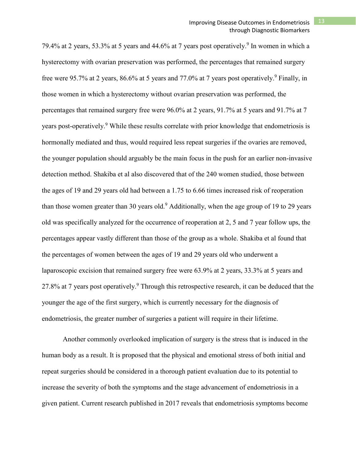79.4% at 2 years, 53.3% at 5 years and 44.6% at 7 years post operatively. <sup>9</sup> In women in which a hysterectomy with ovarian preservation was performed, the percentages that remained surgery free were 95.7% at 2 years, 86.6% at 5 years and 77.0% at 7 years post operatively.<sup>9</sup> Finally, in those women in which a hysterectomy without ovarian preservation was performed, the percentages that remained surgery free were 96.0% at 2 years, 91.7% at 5 years and 91.7% at 7 years post-operatively.<sup>9</sup> While these results correlate with prior knowledge that endometriosis is hormonally mediated and thus, would required less repeat surgeries if the ovaries are removed, the younger population should arguably be the main focus in the push for an earlier non-invasive detection method. Shakiba et al also discovered that of the 240 women studied, those between the ages of 19 and 29 years old had between a 1.75 to 6.66 times increased risk of reoperation than those women greater than 30 years old.<sup>9</sup> Additionally, when the age group of 19 to 29 years old was specifically analyzed for the occurrence of reoperation at 2, 5 and 7 year follow ups, the percentages appear vastly different than those of the group as a whole. Shakiba et al found that the percentages of women between the ages of 19 and 29 years old who underwent a laparoscopic excision that remained surgery free were 63.9% at 2 years, 33.3% at 5 years and 27.8% at 7 years post operatively.<sup>9</sup> Through this retrospective research, it can be deduced that the younger the age of the first surgery, which is currently necessary for the diagnosis of endometriosis, the greater number of surgeries a patient will require in their lifetime.

Another commonly overlooked implication of surgery is the stress that is induced in the human body as a result. It is proposed that the physical and emotional stress of both initial and repeat surgeries should be considered in a thorough patient evaluation due to its potential to increase the severity of both the symptoms and the stage advancement of endometriosis in a given patient. Current research published in 2017 reveals that endometriosis symptoms become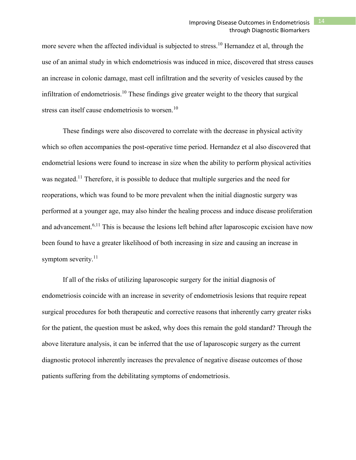more severe when the affected individual is subjected to stress.<sup>10</sup> Hernandez et al, through the use of an animal study in which endometriosis was induced in mice, discovered that stress causes an increase in colonic damage, mast cell infiltration and the severity of vesicles caused by the infiltration of endometriosis.<sup>10</sup> These findings give greater weight to the theory that surgical stress can itself cause endometriosis to worsen.<sup>10</sup>

These findings were also discovered to correlate with the decrease in physical activity which so often accompanies the post-operative time period. Hernandez et al also discovered that endometrial lesions were found to increase in size when the ability to perform physical activities was negated.<sup>11</sup> Therefore, it is possible to deduce that multiple surgeries and the need for reoperations, which was found to be more prevalent when the initial diagnostic surgery was performed at a younger age, may also hinder the healing process and induce disease proliferation and advancement.<sup>6,11</sup> This is because the lesions left behind after laparoscopic excision have now been found to have a greater likelihood of both increasing in size and causing an increase in symptom severity.<sup>11</sup>

If all of the risks of utilizing laparoscopic surgery for the initial diagnosis of endometriosis coincide with an increase in severity of endometriosis lesions that require repeat surgical procedures for both therapeutic and corrective reasons that inherently carry greater risks for the patient, the question must be asked, why does this remain the gold standard? Through the above literature analysis, it can be inferred that the use of laparoscopic surgery as the current diagnostic protocol inherently increases the prevalence of negative disease outcomes of those patients suffering from the debilitating symptoms of endometriosis.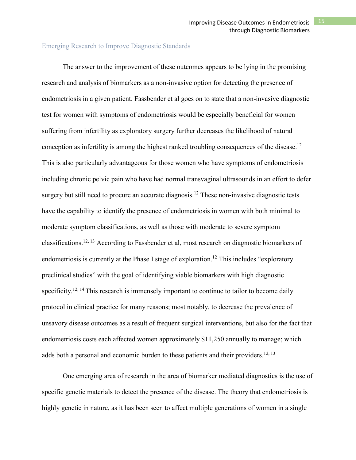### Emerging Research to Improve Diagnostic Standards

The answer to the improvement of these outcomes appears to be lying in the promising research and analysis of biomarkers as a non-invasive option for detecting the presence of endometriosis in a given patient. Fassbender et al goes on to state that a non-invasive diagnostic test for women with symptoms of endometriosis would be especially beneficial for women suffering from infertility as exploratory surgery further decreases the likelihood of natural conception as infertility is among the highest ranked troubling consequences of the disease. 12 This is also particularly advantageous for those women who have symptoms of endometriosis including chronic pelvic pain who have had normal transvaginal ultrasounds in an effort to defer surgery but still need to procure an accurate diagnosis.<sup>12</sup> These non-invasive diagnostic tests have the capability to identify the presence of endometriosis in women with both minimal to moderate symptom classifications, as well as those with moderate to severe symptom classifications.<sup>12, 13</sup> According to Fassbender et al, most research on diagnostic biomarkers of endometriosis is currently at the Phase I stage of exploration.<sup>12</sup> This includes "exploratory" preclinical studies" with the goal of identifying viable biomarkers with high diagnostic specificity.<sup>12, 14</sup> This research is immensely important to continue to tailor to become daily protocol in clinical practice for many reasons; most notably, to decrease the prevalence of unsavory disease outcomes as a result of frequent surgical interventions, but also for the fact that endometriosis costs each affected women approximately \$11,250 annually to manage; which adds both a personal and economic burden to these patients and their providers.<sup>12, 13</sup>

One emerging area of research in the area of biomarker mediated diagnostics is the use of specific genetic materials to detect the presence of the disease. The theory that endometriosis is highly genetic in nature, as it has been seen to affect multiple generations of women in a single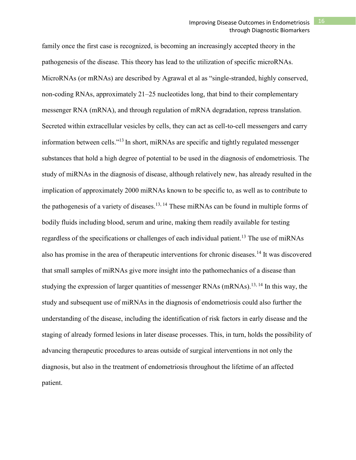family once the first case is recognized, is becoming an increasingly accepted theory in the pathogenesis of the disease. This theory has lead to the utilization of specific microRNAs. MicroRNAs (or mRNAs) are described by Agrawal et al as "single-stranded, highly conserved, non-coding RNAs, approximately 21–25 nucleotides long, that bind to their complementary messenger RNA (mRNA), and through regulation of mRNA degradation, repress translation. Secreted within extracellular vesicles by cells, they can act as cell-to-cell messengers and carry information between cells."13 In short, miRNAs are specific and tightly regulated messenger substances that hold a high degree of potential to be used in the diagnosis of endometriosis. The study of miRNAs in the diagnosis of disease, although relatively new, has already resulted in the implication of approximately 2000 miRNAs known to be specific to, as well as to contribute to the pathogenesis of a variety of diseases.<sup>13, 14</sup> These miRNAs can be found in multiple forms of bodily fluids including blood, serum and urine, making them readily available for testing regardless of the specifications or challenges of each individual patient.<sup>13</sup> The use of miRNAs also has promise in the area of therapeutic interventions for chronic diseases.<sup>14</sup> It was discovered that small samples of miRNAs give more insight into the pathomechanics of a disease than studying the expression of larger quantities of messenger RNAs  $(mRNAs)$ .<sup>13, 14</sup> In this way, the study and subsequent use of miRNAs in the diagnosis of endometriosis could also further the understanding of the disease, including the identification of risk factors in early disease and the staging of already formed lesions in later disease processes. This, in turn, holds the possibility of advancing therapeutic procedures to areas outside of surgical interventions in not only the diagnosis, but also in the treatment of endometriosis throughout the lifetime of an affected patient.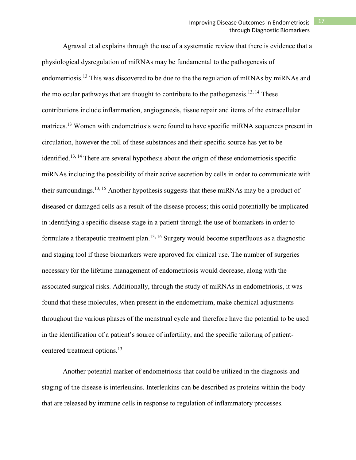Agrawal et al explains through the use of a systematic review that there is evidence that a physiological dysregulation of miRNAs may be fundamental to the pathogenesis of endometriosis.<sup>13</sup> This was discovered to be due to the the regulation of mRNAs by miRNAs and the molecular pathways that are thought to contribute to the pathogenesis.<sup>13, 14</sup> These contributions include inflammation, angiogenesis, tissue repair and items of the extracellular matrices.<sup>13</sup> Women with endometriosis were found to have specific miRNA sequences present in circulation, however the roll of these substances and their specific source has yet to be identified.<sup>13, 14</sup> There are several hypothesis about the origin of these endometriosis specific miRNAs including the possibility of their active secretion by cells in order to communicate with their surroundings.<sup>13, 15</sup> Another hypothesis suggests that these miRNAs may be a product of diseased or damaged cells as a result of the disease process; this could potentially be implicated in identifying a specific disease stage in a patient through the use of biomarkers in order to formulate a therapeutic treatment plan.13, 16 Surgery would become superfluous as a diagnostic and staging tool if these biomarkers were approved for clinical use. The number of surgeries necessary for the lifetime management of endometriosis would decrease, along with the associated surgical risks. Additionally, through the study of miRNAs in endometriosis, it was found that these molecules, when present in the endometrium, make chemical adjustments throughout the various phases of the menstrual cycle and therefore have the potential to be used in the identification of a patient's source of infertility, and the specific tailoring of patientcentered treatment options.<sup>13</sup>

Another potential marker of endometriosis that could be utilized in the diagnosis and staging of the disease is interleukins. Interleukins can be described as proteins within the body that are released by immune cells in response to regulation of inflammatory processes.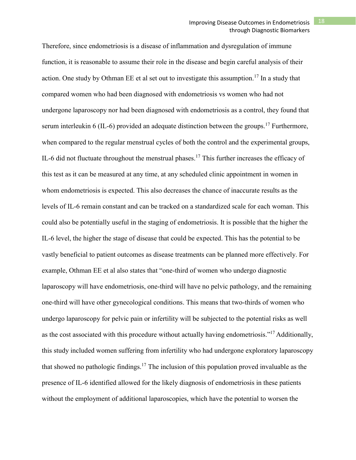Therefore, since endometriosis is a disease of inflammation and dysregulation of immune function, it is reasonable to assume their role in the disease and begin careful analysis of their action. One study by Othman EE et al set out to investigate this assumption.<sup>17</sup> In a study that compared women who had been diagnosed with endometriosis vs women who had not undergone laparoscopy nor had been diagnosed with endometriosis as a control, they found that serum interleukin 6 (IL-6) provided an adequate distinction between the groups.<sup>17</sup> Furthermore, when compared to the regular menstrual cycles of both the control and the experimental groups, IL-6 did not fluctuate throughout the menstrual phases.<sup>17</sup> This further increases the efficacy of this test as it can be measured at any time, at any scheduled clinic appointment in women in whom endometriosis is expected. This also decreases the chance of inaccurate results as the levels of IL-6 remain constant and can be tracked on a standardized scale for each woman. This could also be potentially useful in the staging of endometriosis. It is possible that the higher the IL-6 level, the higher the stage of disease that could be expected. This has the potential to be vastly beneficial to patient outcomes as disease treatments can be planned more effectively. For example, Othman EE et al also states that "one-third of women who undergo diagnostic laparoscopy will have endometriosis, one-third will have no pelvic pathology, and the remaining one-third will have other gynecological conditions. This means that two-thirds of women who undergo laparoscopy for pelvic pain or infertility will be subjected to the potential risks as well as the cost associated with this procedure without actually having endometriosis."<sup>17</sup> Additionally, this study included women suffering from infertility who had undergone exploratory laparoscopy that showed no pathologic findings.<sup>17</sup> The inclusion of this population proved invaluable as the presence of IL-6 identified allowed for the likely diagnosis of endometriosis in these patients without the employment of additional laparoscopies, which have the potential to worsen the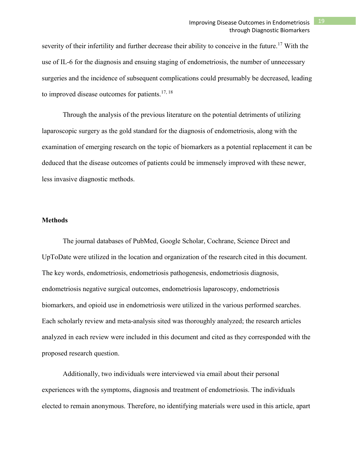# Improving Disease Outcomes in Endometriosis 19 through Diagnostic Biomarkers

severity of their infertility and further decrease their ability to conceive in the future.<sup>17</sup> With the use of IL-6 for the diagnosis and ensuing staging of endometriosis, the number of unnecessary surgeries and the incidence of subsequent complications could presumably be decreased, leading to improved disease outcomes for patients.<sup>17, 18</sup>

Through the analysis of the previous literature on the potential detriments of utilizing laparoscopic surgery as the gold standard for the diagnosis of endometriosis, along with the examination of emerging research on the topic of biomarkers as a potential replacement it can be deduced that the disease outcomes of patients could be immensely improved with these newer, less invasive diagnostic methods.

#### **Methods**

The journal databases of PubMed, Google Scholar, Cochrane, Science Direct and UpToDate were utilized in the location and organization of the research cited in this document. The key words, endometriosis, endometriosis pathogenesis, endometriosis diagnosis, endometriosis negative surgical outcomes, endometriosis laparoscopy, endometriosis biomarkers, and opioid use in endometriosis were utilized in the various performed searches. Each scholarly review and meta-analysis sited was thoroughly analyzed; the research articles analyzed in each review were included in this document and cited as they corresponded with the proposed research question.

Additionally, two individuals were interviewed via email about their personal experiences with the symptoms, diagnosis and treatment of endometriosis. The individuals elected to remain anonymous. Therefore, no identifying materials were used in this article, apart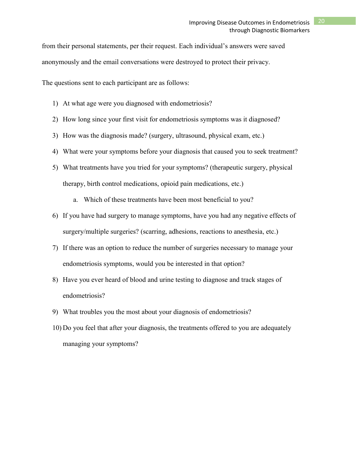from their personal statements, per their request. Each individual's answers were saved anonymously and the email conversations were destroyed to protect their privacy.

The questions sent to each participant are as follows:

- 1) At what age were you diagnosed with endometriosis?
- 2) How long since your first visit for endometriosis symptoms was it diagnosed?
- 3) How was the diagnosis made? (surgery, ultrasound, physical exam, etc.)
- 4) What were your symptoms before your diagnosis that caused you to seek treatment?
- 5) What treatments have you tried for your symptoms? (therapeutic surgery, physical therapy, birth control medications, opioid pain medications, etc.)
	- a. Which of these treatments have been most beneficial to you?
- 6) If you have had surgery to manage symptoms, have you had any negative effects of surgery/multiple surgeries? (scarring, adhesions, reactions to anesthesia, etc.)
- 7) If there was an option to reduce the number of surgeries necessary to manage your endometriosis symptoms, would you be interested in that option?
- 8) Have you ever heard of blood and urine testing to diagnose and track stages of endometriosis?
- 9) What troubles you the most about your diagnosis of endometriosis?
- 10) Do you feel that after your diagnosis, the treatments offered to you are adequately managing your symptoms?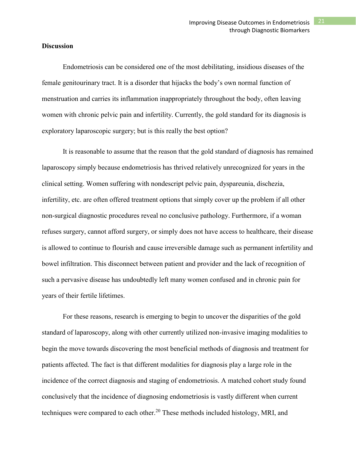### **Discussion**

Endometriosis can be considered one of the most debilitating, insidious diseases of the female genitourinary tract. It is a disorder that hijacks the body's own normal function of menstruation and carries its inflammation inappropriately throughout the body, often leaving women with chronic pelvic pain and infertility. Currently, the gold standard for its diagnosis is exploratory laparoscopic surgery; but is this really the best option?

It is reasonable to assume that the reason that the gold standard of diagnosis has remained laparoscopy simply because endometriosis has thrived relatively unrecognized for years in the clinical setting. Women suffering with nondescript pelvic pain, dyspareunia, dischezia, infertility, etc. are often offered treatment options that simply cover up the problem if all other non-surgical diagnostic procedures reveal no conclusive pathology. Furthermore, if a woman refuses surgery, cannot afford surgery, or simply does not have access to healthcare, their disease is allowed to continue to flourish and cause irreversible damage such as permanent infertility and bowel infiltration. This disconnect between patient and provider and the lack of recognition of such a pervasive disease has undoubtedly left many women confused and in chronic pain for years of their fertile lifetimes.

For these reasons, research is emerging to begin to uncover the disparities of the gold standard of laparoscopy, along with other currently utilized non-invasive imaging modalities to begin the move towards discovering the most beneficial methods of diagnosis and treatment for patients affected. The fact is that different modalities for diagnosis play a large role in the incidence of the correct diagnosis and staging of endometriosis. A matched cohort study found conclusively that the incidence of diagnosing endometriosis is vastly different when current techniques were compared to each other.<sup>20</sup> These methods included histology, MRI, and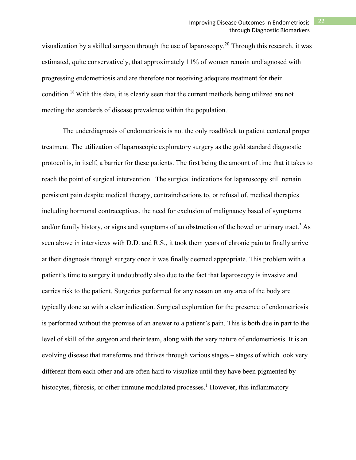visualization by a skilled surgeon through the use of laparoscopy.<sup>20</sup> Through this research, it was estimated, quite conservatively, that approximately 11% of women remain undiagnosed with progressing endometriosis and are therefore not receiving adequate treatment for their condition.18 With this data, it is clearly seen that the current methods being utilized are not meeting the standards of disease prevalence within the population.

The underdiagnosis of endometriosis is not the only roadblock to patient centered proper treatment. The utilization of laparoscopic exploratory surgery as the gold standard diagnostic protocol is, in itself, a barrier for these patients. The first being the amount of time that it takes to reach the point of surgical intervention. The surgical indications for laparoscopy still remain persistent pain despite medical therapy, contraindications to, or refusal of, medical therapies including hormonal contraceptives, the need for exclusion of malignancy based of symptoms and/or family history, or signs and symptoms of an obstruction of the bowel or urinary tract.<sup>3</sup> As seen above in interviews with D.D. and R.S., it took them years of chronic pain to finally arrive at their diagnosis through surgery once it was finally deemed appropriate. This problem with a patient's time to surgery it undoubtedly also due to the fact that laparoscopy is invasive and carries risk to the patient. Surgeries performed for any reason on any area of the body are typically done so with a clear indication. Surgical exploration for the presence of endometriosis is performed without the promise of an answer to a patient's pain. This is both due in part to the level of skill of the surgeon and their team, along with the very nature of endometriosis. It is an evolving disease that transforms and thrives through various stages – stages of which look very different from each other and are often hard to visualize until they have been pigmented by histocytes, fibrosis, or other immune modulated processes.<sup>1</sup> However, this inflammatory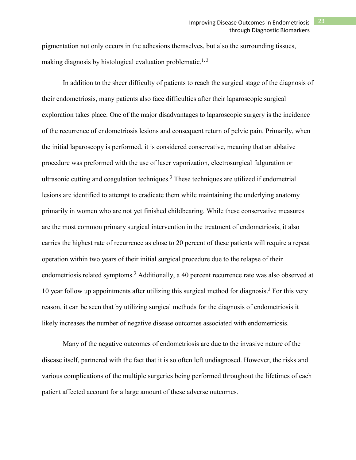pigmentation not only occurs in the adhesions themselves, but also the surrounding tissues, making diagnosis by histological evaluation problematic.<sup>1, 3</sup>

In addition to the sheer difficulty of patients to reach the surgical stage of the diagnosis of their endometriosis, many patients also face difficulties after their laparoscopic surgical exploration takes place. One of the major disadvantages to laparoscopic surgery is the incidence of the recurrence of endometriosis lesions and consequent return of pelvic pain. Primarily, when the initial laparoscopy is performed, it is considered conservative, meaning that an ablative procedure was preformed with the use of laser vaporization, electrosurgical fulguration or ultrasonic cutting and coagulation techniques.<sup>3</sup> These techniques are utilized if endometrial lesions are identified to attempt to eradicate them while maintaining the underlying anatomy primarily in women who are not yet finished childbearing. While these conservative measures are the most common primary surgical intervention in the treatment of endometriosis, it also carries the highest rate of recurrence as close to 20 percent of these patients will require a repeat operation within two years of their initial surgical procedure due to the relapse of their endometriosis related symptoms.<sup>3</sup> Additionally, a 40 percent recurrence rate was also observed at 10 year follow up appointments after utilizing this surgical method for diagnosis. <sup>3</sup> For this very reason, it can be seen that by utilizing surgical methods for the diagnosis of endometriosis it likely increases the number of negative disease outcomes associated with endometriosis.

Many of the negative outcomes of endometriosis are due to the invasive nature of the disease itself, partnered with the fact that it is so often left undiagnosed. However, the risks and various complications of the multiple surgeries being performed throughout the lifetimes of each patient affected account for a large amount of these adverse outcomes.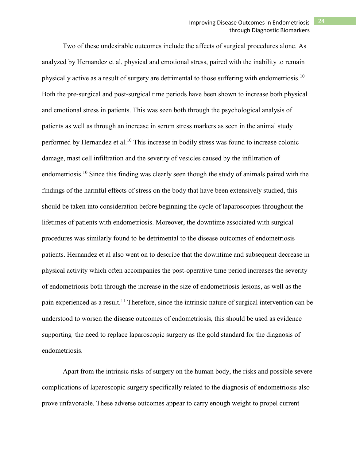Two of these undesirable outcomes include the affects of surgical procedures alone. As analyzed by Hernandez et al, physical and emotional stress, paired with the inability to remain physically active as a result of surgery are detrimental to those suffering with endometriosis.<sup>10</sup> Both the pre-surgical and post-surgical time periods have been shown to increase both physical and emotional stress in patients. This was seen both through the psychological analysis of patients as well as through an increase in serum stress markers as seen in the animal study performed by Hernandez et al.<sup>10</sup> This increase in bodily stress was found to increase colonic damage, mast cell infiltration and the severity of vesicles caused by the infiltration of endometriosis.<sup>10</sup> Since this finding was clearly seen though the study of animals paired with the findings of the harmful effects of stress on the body that have been extensively studied, this should be taken into consideration before beginning the cycle of laparoscopies throughout the lifetimes of patients with endometriosis. Moreover, the downtime associated with surgical procedures was similarly found to be detrimental to the disease outcomes of endometriosis patients. Hernandez et al also went on to describe that the downtime and subsequent decrease in physical activity which often accompanies the post-operative time period increases the severity of endometriosis both through the increase in the size of endometriosis lesions, as well as the pain experienced as a result.<sup>11</sup> Therefore, since the intrinsic nature of surgical intervention can be understood to worsen the disease outcomes of endometriosis, this should be used as evidence supporting the need to replace laparoscopic surgery as the gold standard for the diagnosis of endometriosis.

Apart from the intrinsic risks of surgery on the human body, the risks and possible severe complications of laparoscopic surgery specifically related to the diagnosis of endometriosis also prove unfavorable. These adverse outcomes appear to carry enough weight to propel current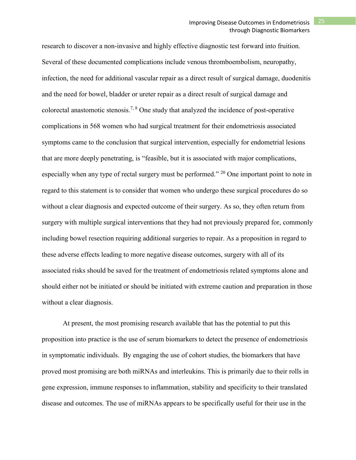research to discover a non-invasive and highly effective diagnostic test forward into fruition. Several of these documented complications include venous thromboembolism, neuropathy, infection, the need for additional vascular repair as a direct result of surgical damage, duodenitis and the need for bowel, bladder or ureter repair as a direct result of surgical damage and colorectal anastomotic stenosis.<sup>7, 8</sup> One study that analyzed the incidence of post-operative complications in 568 women who had surgical treatment for their endometriosis associated symptoms came to the conclusion that surgical intervention, especially for endometrial lesions that are more deeply penetrating, is "feasible, but it is associated with major complications, especially when any type of rectal surgery must be performed." <sup>20</sup> One important point to note in regard to this statement is to consider that women who undergo these surgical procedures do so without a clear diagnosis and expected outcome of their surgery. As so, they often return from surgery with multiple surgical interventions that they had not previously prepared for, commonly including bowel resection requiring additional surgeries to repair. As a proposition in regard to these adverse effects leading to more negative disease outcomes, surgery with all of its associated risks should be saved for the treatment of endometriosis related symptoms alone and should either not be initiated or should be initiated with extreme caution and preparation in those without a clear diagnosis.

At present, the most promising research available that has the potential to put this proposition into practice is the use of serum biomarkers to detect the presence of endometriosis in symptomatic individuals. By engaging the use of cohort studies, the biomarkers that have proved most promising are both miRNAs and interleukins. This is primarily due to their rolls in gene expression, immune responses to inflammation, stability and specificity to their translated disease and outcomes. The use of miRNAs appears to be specifically useful for their use in the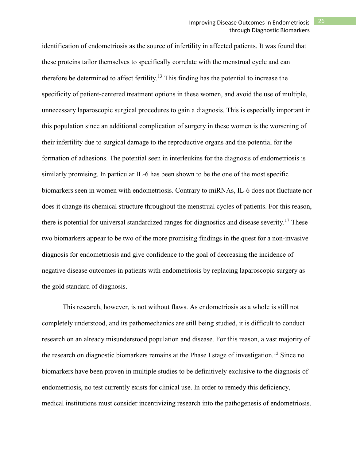identification of endometriosis as the source of infertility in affected patients. It was found that these proteins tailor themselves to specifically correlate with the menstrual cycle and can therefore be determined to affect fertility.<sup>13</sup> This finding has the potential to increase the specificity of patient-centered treatment options in these women, and avoid the use of multiple, unnecessary laparoscopic surgical procedures to gain a diagnosis. This is especially important in this population since an additional complication of surgery in these women is the worsening of their infertility due to surgical damage to the reproductive organs and the potential for the formation of adhesions. The potential seen in interleukins for the diagnosis of endometriosis is similarly promising. In particular IL-6 has been shown to be the one of the most specific biomarkers seen in women with endometriosis. Contrary to miRNAs, IL-6 does not fluctuate nor does it change its chemical structure throughout the menstrual cycles of patients. For this reason, there is potential for universal standardized ranges for diagnostics and disease severity.<sup>17</sup> These two biomarkers appear to be two of the more promising findings in the quest for a non-invasive diagnosis for endometriosis and give confidence to the goal of decreasing the incidence of negative disease outcomes in patients with endometriosis by replacing laparoscopic surgery as the gold standard of diagnosis.

This research, however, is not without flaws. As endometriosis as a whole is still not completely understood, and its pathomechanics are still being studied, it is difficult to conduct research on an already misunderstood population and disease. For this reason, a vast majority of the research on diagnostic biomarkers remains at the Phase I stage of investigation.<sup>12</sup> Since no biomarkers have been proven in multiple studies to be definitively exclusive to the diagnosis of endometriosis, no test currently exists for clinical use. In order to remedy this deficiency, medical institutions must consider incentivizing research into the pathogenesis of endometriosis.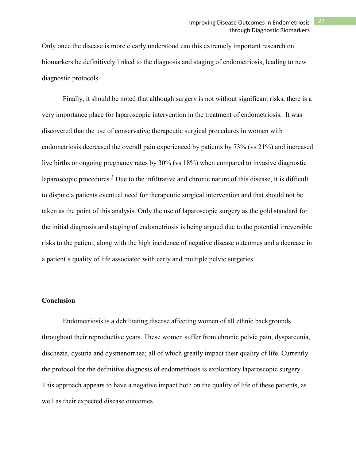Only once the disease is more clearly understood can this extremely important research on biomarkers be definitively linked to the diagnosis and staging of endometriosis, leading to new diagnostic protocols.

Finally, it should be noted that although surgery is not without significant risks, there is a very importance place for laparoscopic intervention in the treatment of endometriosis. It was discovered that the use of conservative therapeutic surgical procedures in women with endometriosis decreased the overall pain experienced by patients by 73% (vs 21%) and increased live births or ongoing pregnancy rates by 30% (vs 18%) when compared to invasive diagnostic laparoscopic procedures.<sup>3</sup> Due to the infiltrative and chronic nature of this disease, it is difficult to dispute a patients eventual need for therapeutic surgical intervention and that should not be taken as the point of this analysis. Only the use of laparoscopic surgery as the gold standard for the initial diagnosis and staging of endometriosis is being argued due to the potential irreversible risks to the patient, along with the high incidence of negative disease outcomes and a decrease in a patient's quality of life associated with early and multiple pelvic surgeries.

## **Conclusion**

Endometriosis is a debilitating disease affecting women of all ethnic backgrounds throughout their reproductive years. These women suffer from chronic pelvic pain, dyspareunia, dischezia, dysuria and dysmenorrhea; all of which greatly impact their quality of life. Currently the protocol for the definitive diagnosis of endometriosis is exploratory laparoscopic surgery. This approach appears to have a negative impact both on the quality of life of these patients, as well as their expected disease outcomes.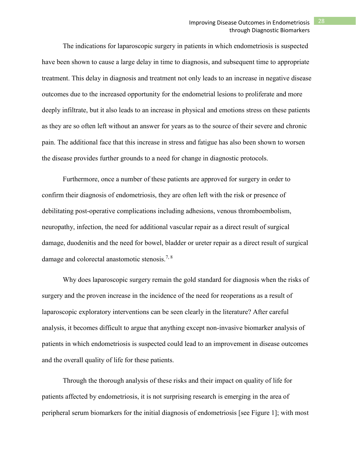# Improving Disease Outcomes in Endometriosis 28 through Diagnostic Biomarkers

The indications for laparoscopic surgery in patients in which endometriosis is suspected have been shown to cause a large delay in time to diagnosis, and subsequent time to appropriate treatment. This delay in diagnosis and treatment not only leads to an increase in negative disease outcomes due to the increased opportunity for the endometrial lesions to proliferate and more deeply infiltrate, but it also leads to an increase in physical and emotions stress on these patients as they are so often left without an answer for years as to the source of their severe and chronic pain. The additional face that this increase in stress and fatigue has also been shown to worsen the disease provides further grounds to a need for change in diagnostic protocols.

Furthermore, once a number of these patients are approved for surgery in order to confirm their diagnosis of endometriosis, they are often left with the risk or presence of debilitating post-operative complications including adhesions, venous thromboembolism, neuropathy, infection, the need for additional vascular repair as a direct result of surgical damage, duodenitis and the need for bowel, bladder or ureter repair as a direct result of surgical damage and colorectal anastomotic stenosis.7, 8

Why does laparoscopic surgery remain the gold standard for diagnosis when the risks of surgery and the proven increase in the incidence of the need for reoperations as a result of laparoscopic exploratory interventions can be seen clearly in the literature? After careful analysis, it becomes difficult to argue that anything except non-invasive biomarker analysis of patients in which endometriosis is suspected could lead to an improvement in disease outcomes and the overall quality of life for these patients.

Through the thorough analysis of these risks and their impact on quality of life for patients affected by endometriosis, it is not surprising research is emerging in the area of peripheral serum biomarkers for the initial diagnosis of endometriosis [see Figure 1]; with most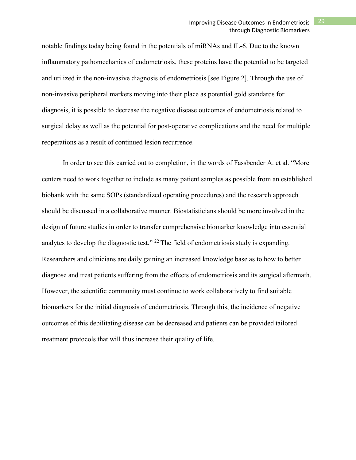notable findings today being found in the potentials of miRNAs and IL-6. Due to the known inflammatory pathomechanics of endometriosis, these proteins have the potential to be targeted and utilized in the non-invasive diagnosis of endometriosis [see Figure 2]. Through the use of non-invasive peripheral markers moving into their place as potential gold standards for diagnosis, it is possible to decrease the negative disease outcomes of endometriosis related to surgical delay as well as the potential for post-operative complications and the need for multiple reoperations as a result of continued lesion recurrence.

In order to see this carried out to completion, in the words of Fassbender A. et al. "More centers need to work together to include as many patient samples as possible from an established biobank with the same SOPs (standardized operating procedures) and the research approach should be discussed in a collaborative manner. Biostatisticians should be more involved in the design of future studies in order to transfer comprehensive biomarker knowledge into essential analytes to develop the diagnostic test."  $^{22}$  The field of endometriosis study is expanding. Researchers and clinicians are daily gaining an increased knowledge base as to how to better diagnose and treat patients suffering from the effects of endometriosis and its surgical aftermath. However, the scientific community must continue to work collaboratively to find suitable biomarkers for the initial diagnosis of endometriosis. Through this, the incidence of negative outcomes of this debilitating disease can be decreased and patients can be provided tailored treatment protocols that will thus increase their quality of life.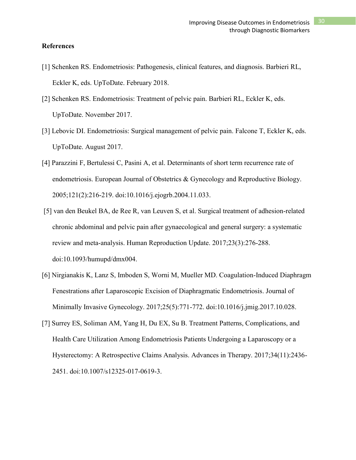#### **References**

- [1] Schenken RS. Endometriosis: Pathogenesis, clinical features, and diagnosis. Barbieri RL, Eckler K, eds. UpToDate. February 2018.
- [2] Schenken RS. Endometriosis: Treatment of pelvic pain. Barbieri RL, Eckler K, eds. UpToDate. November 2017.
- [3] Lebovic DI. Endometriosis: Surgical management of pelvic pain. Falcone T, Eckler K, eds. UpToDate. August 2017.
- [4] Parazzini F, Bertulessi C, Pasini A, et al. Determinants of short term recurrence rate of endometriosis. European Journal of Obstetrics & Gynecology and Reproductive Biology. 2005;121(2):216-219. doi:10.1016/j.ejogrb.2004.11.033.
- [5] van den Beukel BA, de Ree R, van Leuven S, et al. Surgical treatment of adhesion-related chronic abdominal and pelvic pain after gynaecological and general surgery: a systematic review and meta-analysis. Human Reproduction Update. 2017;23(3):276-288. doi:10.1093/humupd/dmx004.
- [6] Nirgianakis K, Lanz S, Imboden S, Worni M, Mueller MD. Coagulation-Induced Diaphragm Fenestrations after Laparoscopic Excision of Diaphragmatic Endometriosis. Journal of Minimally Invasive Gynecology. 2017;25(5):771-772. doi:10.1016/j.jmig.2017.10.028.
- [7] Surrey ES, Soliman AM, Yang H, Du EX, Su B. Treatment Patterns, Complications, and Health Care Utilization Among Endometriosis Patients Undergoing a Laparoscopy or a Hysterectomy: A Retrospective Claims Analysis. Advances in Therapy. 2017;34(11):2436- 2451. doi:10.1007/s12325-017-0619-3.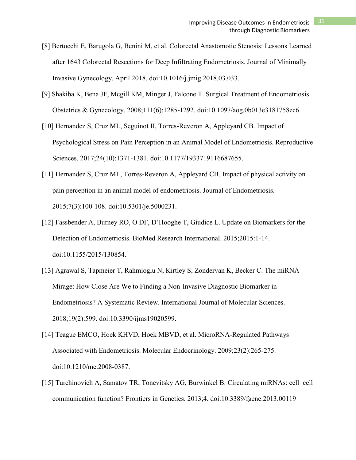- [8] Bertocchi E, Barugola G, Benini M, et al. Colorectal Anastomotic Stenosis: Lessons Learned after 1643 Colorectal Resections for Deep Infiltrating Endometriosis. Journal of Minimally Invasive Gynecology. April 2018. doi:10.1016/j.jmig.2018.03.033.
- [9] Shakiba K, Bena JF, Mcgill KM, Minger J, Falcone T. Surgical Treatment of Endometriosis. Obstetrics & Gynecology. 2008;111(6):1285-1292. doi:10.1097/aog.0b013e3181758ec6
- [10] Hernandez S, Cruz ML, Seguinot II, Torres-Reveron A, Appleyard CB. Impact of Psychological Stress on Pain Perception in an Animal Model of Endometriosis. Reproductive Sciences. 2017;24(10):1371-1381. doi:10.1177/1933719116687655.
- [11] Hernandez S, Cruz ML, Torres-Reveron A, Appleyard CB. Impact of physical activity on pain perception in an animal model of endometriosis. Journal of Endometriosis. 2015;7(3):100-108. doi:10.5301/je.5000231.
- [12] Fassbender A, Burney RO, O DF, D'Hooghe T, Giudice L. Update on Biomarkers for the Detection of Endometriosis. BioMed Research International. 2015;2015:1-14. doi:10.1155/2015/130854.
- [13] Agrawal S, Tapmeier T, Rahmioglu N, Kirtley S, Zondervan K, Becker C. The miRNA Mirage: How Close Are We to Finding a Non-Invasive Diagnostic Biomarker in Endometriosis? A Systematic Review. International Journal of Molecular Sciences. 2018;19(2):599. doi:10.3390/ijms19020599.
- [14] Teague EMCO, Hoek KHVD, Hoek MBVD, et al. MicroRNA-Regulated Pathways Associated with Endometriosis. Molecular Endocrinology. 2009;23(2):265-275. doi:10.1210/me.2008-0387.
- [15] Turchinovich A, Samatov TR, Tonevitsky AG, Burwinkel B. Circulating miRNAs: cell–cell communication function? Frontiers in Genetics. 2013;4. doi:10.3389/fgene.2013.00119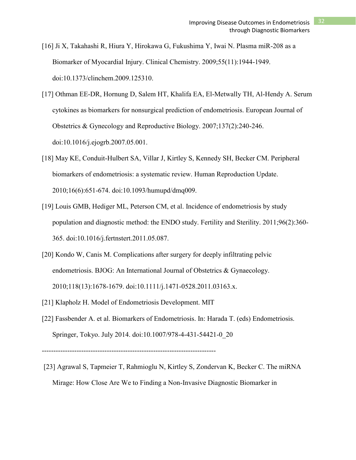- [16] Ji X, Takahashi R, Hiura Y, Hirokawa G, Fukushima Y, Iwai N. Plasma miR-208 as a Biomarker of Myocardial Injury. Clinical Chemistry. 2009;55(11):1944-1949. doi:10.1373/clinchem.2009.125310.
- [17] Othman EE-DR, Hornung D, Salem HT, Khalifa EA, El-Metwally TH, Al-Hendy A. Serum cytokines as biomarkers for nonsurgical prediction of endometriosis. European Journal of Obstetrics & Gynecology and Reproductive Biology. 2007;137(2):240-246. doi:10.1016/j.ejogrb.2007.05.001.
- [18] May KE, Conduit-Hulbert SA, Villar J, Kirtley S, Kennedy SH, Becker CM. Peripheral biomarkers of endometriosis: a systematic review. Human Reproduction Update. 2010;16(6):651-674. doi:10.1093/humupd/dmq009.
- [19] Louis GMB, Hediger ML, Peterson CM, et al. Incidence of endometriosis by study population and diagnostic method: the ENDO study. Fertility and Sterility. 2011;96(2):360- 365. doi:10.1016/j.fertnstert.2011.05.087.
- [20] Kondo W, Canis M. Complications after surgery for deeply infiltrating pelvic endometriosis. BJOG: An International Journal of Obstetrics & Gynaecology. 2010;118(13):1678-1679. doi:10.1111/j.1471-0528.2011.03163.x.
- [21] Klapholz H. Model of Endometriosis Development. MIT
- [22] Fassbender A. et al. Biomarkers of Endometriosis. In: Harada T. (eds) Endometriosis. Springer, Tokyo. July 2014. doi:10.1007/978-4-431-54421-0\_20

---------------------------------------------------------------------------

[23] Agrawal S, Tapmeier T, Rahmioglu N, Kirtley S, Zondervan K, Becker C. The miRNA Mirage: How Close Are We to Finding a Non-Invasive Diagnostic Biomarker in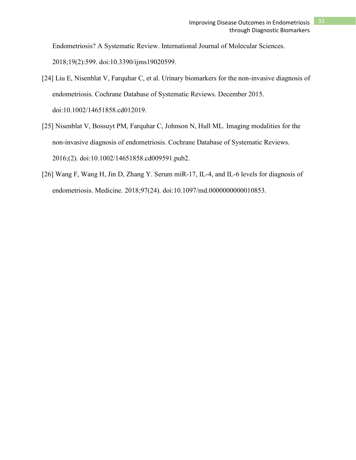Endometriosis? A Systematic Review. International Journal of Molecular Sciences.

2018;19(2):599. doi:10.3390/ijms19020599.

- [24] Liu E, Nisenblat V, Farquhar C, et al. Urinary biomarkers for the non-invasive diagnosis of endometriosis. Cochrane Database of Systematic Reviews. December 2015. doi:10.1002/14651858.cd012019.
- [25] Nisenblat V, Bossuyt PM, Farquhar C, Johnson N, Hull ML. Imaging modalities for the non-invasive diagnosis of endometriosis. Cochrane Database of Systematic Reviews. 2016;(2). doi:10.1002/14651858.cd009591.pub2.
- [26] Wang F, Wang H, Jin D, Zhang Y. Serum miR-17, IL-4, and IL-6 levels for diagnosis of endometriosis. Medicine. 2018;97(24). doi:10.1097/md.0000000000010853.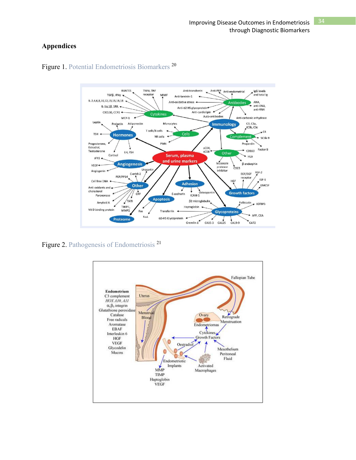# **Appendices**



Figure 1. Potential Endometriosis Biomarkers <sup>20</sup>

Figure 2. Pathogenesis of Endometriosis <sup>21</sup>